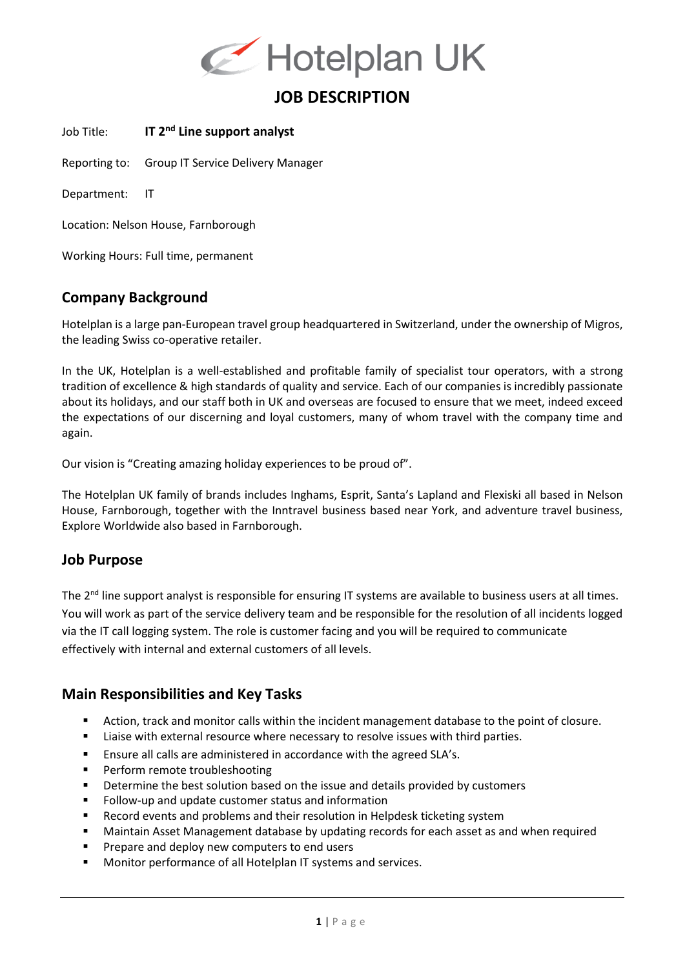

# **JOB DESCRIPTION**

Job Title: **IT 2nd Line support analyst**

Reporting to: Group IT Service Delivery Manager

Department: IT

Location: Nelson House, Farnborough

Working Hours: Full time, permanent

#### **Company Background**

Hotelplan is a large pan-European travel group headquartered in Switzerland, under the ownership of Migros, the leading Swiss co-operative retailer.

In the UK, Hotelplan is a well-established and profitable family of specialist tour operators, with a strong tradition of excellence & high standards of quality and service. Each of our companies is incredibly passionate about its holidays, and our staff both in UK and overseas are focused to ensure that we meet, indeed exceed the expectations of our discerning and loyal customers, many of whom travel with the company time and again.

Our vision is "Creating amazing holiday experiences to be proud of".

The Hotelplan UK family of brands includes Inghams, Esprit, Santa's Lapland and Flexiski all based in Nelson House, Farnborough, together with the Inntravel business based near York, and adventure travel business, Explore Worldwide also based in Farnborough.

### **Job Purpose**

The 2<sup>nd</sup> line support analyst is responsible for ensuring IT systems are available to business users at all times. You will work as part of the service delivery team and be responsible for the resolution of all incidents logged via the IT call logging system. The role is customer facing and you will be required to communicate effectively with internal and external customers of all levels.

#### **Main Responsibilities and Key Tasks**

- Action, track and monitor calls within the incident management database to the point of closure.
- Liaise with external resource where necessary to resolve issues with third parties.
- Ensure all calls are administered in accordance with the agreed SLA's.
- Perform remote troubleshooting
- **•** Determine the best solution based on the issue and details provided by customers
- Follow-up and update customer status and information
- Record events and problems and their resolution in Helpdesk ticketing system
- Maintain Asset Management database by updating records for each asset as and when required
- Prepare and deploy new computers to end users
- Monitor performance of all Hotelplan IT systems and services.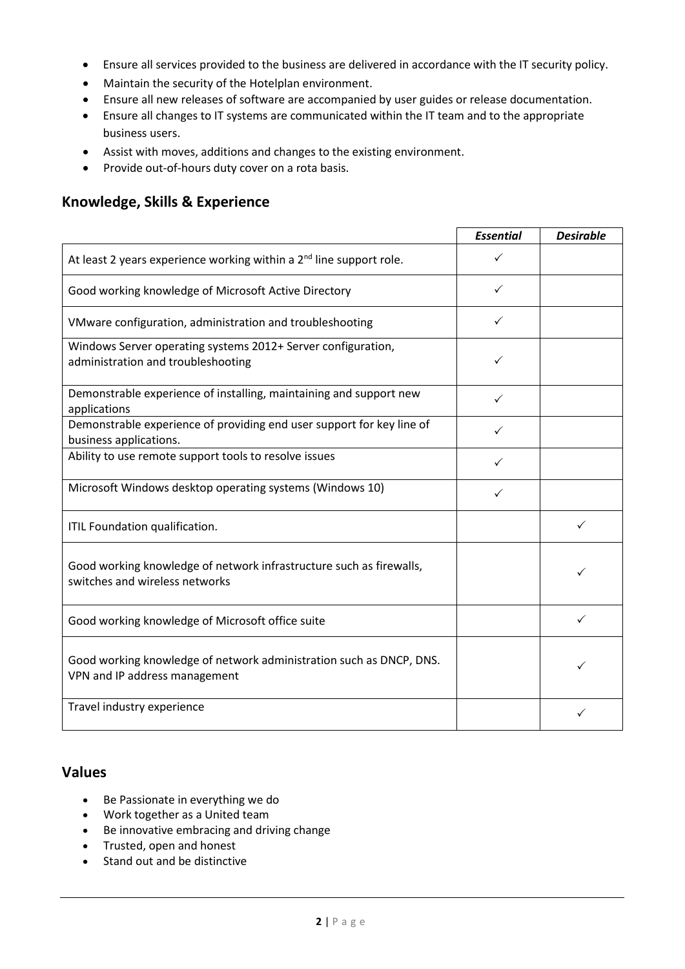- Ensure all services provided to the business are delivered in accordance with the IT security policy.
- Maintain the security of the Hotelplan environment.
- Ensure all new releases of software are accompanied by user guides or release documentation.
- Ensure all changes to IT systems are communicated within the IT team and to the appropriate business users.
- Assist with moves, additions and changes to the existing environment.
- Provide out-of-hours duty cover on a rota basis.

#### **Knowledge, Skills & Experience**

|                                                                                                       | <b>Essential</b> | <b>Desirable</b> |
|-------------------------------------------------------------------------------------------------------|------------------|------------------|
| At least 2 years experience working within a $2nd$ line support role.                                 | ✓                |                  |
| Good working knowledge of Microsoft Active Directory                                                  | ✓                |                  |
| VMware configuration, administration and troubleshooting                                              | ✓                |                  |
| Windows Server operating systems 2012+ Server configuration,<br>administration and troubleshooting    | ✓                |                  |
| Demonstrable experience of installing, maintaining and support new<br>applications                    | ✓                |                  |
| Demonstrable experience of providing end user support for key line of<br>business applications.       | ✓                |                  |
| Ability to use remote support tools to resolve issues                                                 | ✓                |                  |
| Microsoft Windows desktop operating systems (Windows 10)                                              | ✓                |                  |
| ITIL Foundation qualification.                                                                        |                  | ✓                |
| Good working knowledge of network infrastructure such as firewalls,<br>switches and wireless networks |                  |                  |
| Good working knowledge of Microsoft office suite                                                      |                  | ✓                |
| Good working knowledge of network administration such as DNCP, DNS.<br>VPN and IP address management  |                  |                  |
| Travel industry experience                                                                            |                  |                  |

### **Values**

- Be Passionate in everything we do
- Work together as a United team
- Be innovative embracing and driving change
- Trusted, open and honest
- Stand out and be distinctive